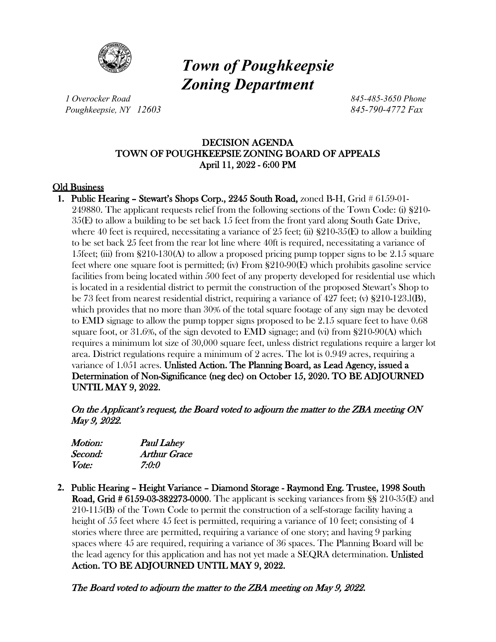

# *Town of Poughkeepsie Zoning Department*

*1 Overocker Road 845-485-3650 Phone Poughkeepsie, NY 12603 845-790-4772 Fax*

# DECISION AGENDA TOWN OF POUGHKEEPSIE ZONING BOARD OF APPEALS April 11, 2022 - 6:00 PM

# Old Business

**1.** Public Hearing – Stewart's Shops Corp., 2245 South Road, zoned B-H, Grid # 6159-01- 249880. The applicant requests relief from the following sections of the Town Code: (i) §210- 35(E) to allow a building to be set back 15 feet from the front yard along South Gate Drive, where 40 feet is required, necessitating a variance of 25 feet; (ii)  $\S210-35(E)$  to allow a building to be set back 25 feet from the rear lot line where 40ft is required, necessitating a variance of 15feet; (iii) from  $\S210-130(A)$  to allow a proposed pricing pump topper signs to be 2.15 square feet where one square foot is permitted; (iv) From §210-90(E) which prohibits gasoline service facilities from being located within 500 feet of any property developed for residential use which is located in a residential district to permit the construction of the proposed Stewart's Shop to be 73 feet from nearest residential district, requiring a variance of 427 feet; (v) §210-123.l(B), which provides that no more than 30% of the total square footage of any sign may be devoted to EMD signage to allow the pump topper signs proposed to be 2.15 square feet to have 0.68 square foot, or 31.6%, of the sign devoted to EMD signage; and (vi) from §210-90(A) which requires a minimum lot size of 30,000 square feet, unless district regulations require a larger lot area. District regulations require a minimum of 2 acres. The lot is 0.949 acres, requiring a variance of 1.051 acres. Unlisted Action. The Planning Board, as Lead Agency, issued a Determination of Non-Significance (neg dec) on October 15, 2020. TO BE ADJOURNED UNTIL MAY 9, 2022.

On the Applicant's request, the Board voted to adjourn the matter to the ZBA meeting ON May 9, 2022.

| Motion:      | <b>Paul Lahey</b>   |
|--------------|---------------------|
| Second:      | <b>Arthur Grace</b> |
| <i>Vote:</i> | 7:0:0               |

**2.** Public Hearing – Height Variance – Diamond Storage - Raymond Eng. Trustee, 1998 South Road, Grid # 6159-03-382273-0000. The applicant is seeking variances from §§ 210-35(E) and 210-115(B) of the Town Code to permit the construction of a self-storage facility having a height of 55 feet where 45 feet is permitted, requiring a variance of 10 feet; consisting of 4 stories where three are permitted, requiring a variance of one story; and having 9 parking spaces where 45 are required, requiring a variance of 36 spaces. The Planning Board will be the lead agency for this application and has not yet made a SEQRA determination. Unlisted Action. TO BE ADJOURNED UNTIL MAY 9, 2022.

The Board voted to adjourn the matter to the ZBA meeting on May 9, 2022.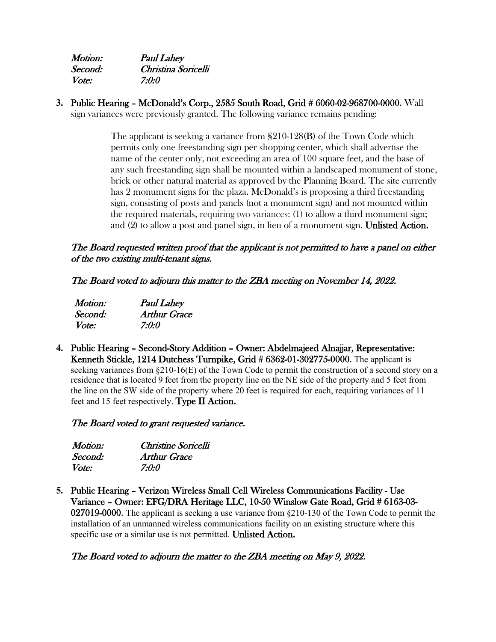| <i>Motion:</i> | <b>Paul Lahey</b>   |
|----------------|---------------------|
| Second:        | Christina Soricelli |
| <i>Vote:</i>   | 7:0:0               |

**3.** Public Hearing – McDonald's Corp., 2585 South Road, Grid # 6060-02-968700-0000. Wall sign variances were previously granted. The following variance remains pending:

> The applicant is seeking a variance from §210-128(B) of the Town Code which permits only one freestanding sign per shopping center, which shall advertise the name of the center only, not exceeding an area of 100 square feet, and the base of any such freestanding sign shall be mounted within a landscaped monument of stone, brick or other natural material as approved by the Planning Board. The site currently has 2 monument signs for the plaza. McDonald's is proposing a third freestanding sign, consisting of posts and panels (not a monument sign) and not mounted within the required materials, requiring two variances: (1) to allow a third monument sign; and (2) to allow a post and panel sign, in lieu of a monument sign. Unlisted Action.

# The Board requested written proof that the applicant is not permitted to have a panel on either of the two existing multi-tenant signs.

The Board voted to adjourn this matter to the ZBA meeting on November 14, 2022.

| Motion:      | <b>Paul Lahey</b> |
|--------------|-------------------|
| Second:      | Arthur Grace      |
| <i>Vote:</i> | 7:0:0             |

**4.** Public Hearing – Second-Story Addition – Owner: Abdelmajeed Alnajjar, Representative: Kenneth Stickle, 1214 Dutchess Turnpike, Grid # 6362-01-302775-0000. The applicant is seeking variances from §210-16(E) of the Town Code to permit the construction of a second story on a residence that is located 9 feet from the property line on the NE side of the property and 5 feet from the line on the SW side of the property where 20 feet is required for each, requiring variances of 11 feet and 15 feet respectively. Type II Action.

The Board voted to grant requested variance.

| <i>Motion:</i> | Christine Soricelli |  |
|----------------|---------------------|--|
| Second:        | <b>Arthur Grace</b> |  |
| <i>Vote:</i>   | 7:0:0               |  |

**5.** Public Hearing – Verizon Wireless Small Cell Wireless Communications Facility - Use Variance – Owner: EFG/DRA Heritage LLC, 10-50 Winslow Gate Road, Grid # 6163-03- 027019-0000. The applicant is seeking a use variance from §210-130 of the Town Code to permit the installation of an unmanned wireless communications facility on an existing structure where this specific use or a similar use is not permitted. Unlisted Action.

# The Board voted to adjourn the matter to the ZBA meeting on May 9, 2022.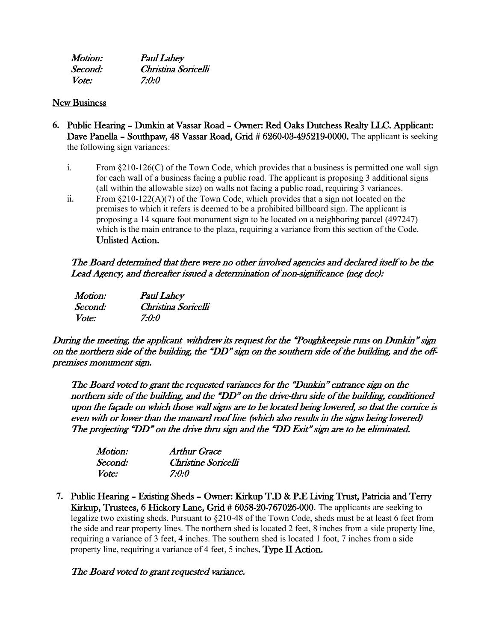| <i>Motion:</i> | <b>Paul Lahey</b>   |
|----------------|---------------------|
| Second:        | Christina Soricelli |
| <i>Vote:</i>   | 7:0:0               |

#### New Business

- **6.** Public Hearing Dunkin at Vassar Road Owner: Red Oaks Dutchess Realty LLC. Applicant: Dave Panella – Southpaw, 48 Vassar Road, Grid # 6260-03-495219-0000. The applicant is seeking the following sign variances:
	- i. From §210-126(C) of the Town Code, which provides that a business is permitted one wall sign for each wall of a business facing a public road. The applicant is proposing 3 additional signs (all within the allowable size) on walls not facing a public road, requiring 3 variances.
	- ii. From  $\S210-122(A)(7)$  of the Town Code, which provides that a sign not located on the premises to which it refers is deemed to be a prohibited billboard sign. The applicant is proposing a 14 square foot monument sign to be located on a neighboring parcel (497247) which is the main entrance to the plaza, requiring a variance from this section of the Code. Unlisted Action.

# The Board determined that there were no other involved agencies and declared itself to be the Lead Agency, and thereafter issued a determination of non-significance (neg dec):

| Motion: | <b>Paul Lahey</b>   |
|---------|---------------------|
| Second: | Christina Soricelli |
| Vote:   | 7:0:0               |

During the meeting, the applicant withdrew its request for the "Poughkeepsie runs on Dunkin" sign on the northern side of the building, the "DD" sign on the southern side of the building, and the offpremises monument sign.

The Board voted to grant the requested variances for the "Dunkin" entrance sign on the northern side of the building, and the "DD" on the drive-thru side of the building, conditioned upon the façade on which those wall signs are to be located being lowered, so that the cornice is even with or lower than the mansard roof line (which also results in the signs being lowered) The projecting "DD" on the drive thru sign and the "DD Exit" sign are to be eliminated.

| Motion:      | Arthur Grace        |
|--------------|---------------------|
| Second:      | Christine Soricelli |
| <i>Vote:</i> | 7:0:0               |

**7.** Public Hearing – Existing Sheds – Owner: Kirkup T.D & P.E Living Trust, Patricia and Terry Kirkup, Trustees, 6 Hickory Lane, Grid # 6058-20-767026-000. The applicants are seeking to legalize two existing sheds. Pursuant to §210-48 of the Town Code, sheds must be at least 6 feet from the side and rear property lines. The northern shed is located 2 feet, 8 inches from a side property line, requiring a variance of 3 feet, 4 inches. The southern shed is located 1 foot, 7 inches from a side property line, requiring a variance of 4 feet, 5 inches. Type II Action.

### The Board voted to grant requested variance.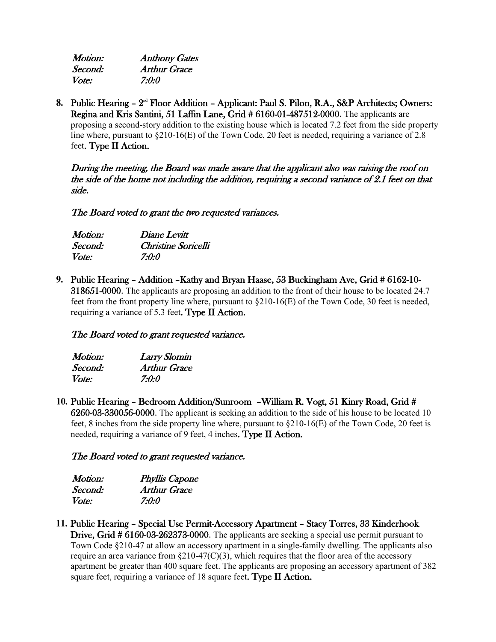| <i>Motion:</i> | <b>Anthony Gates</b> |
|----------------|----------------------|
| Second:        | <b>Arthur Grace</b>  |
| <i>Vote:</i>   | 7:0:0                |

8. Public Hearing - 2<sup>nd</sup> Floor Addition - Applicant: Paul S. Pilon, R.A., S&P Architects; Owners: Regina and Kris Santini, 51 Laffin Lane, Grid # 6160-01-487512-0000. The applicants are proposing a second-story addition to the existing house which is located 7.2 feet from the side property line where, pursuant to  $\S210-16(E)$  of the Town Code, 20 feet is needed, requiring a variance of 2.8 feet. Type II Action.

During the meeting, the Board was made aware that the applicant also was raising the roof on the side of the home not including the addition, requiring a second variance of 2.1 feet on that side.

The Board voted to grant the two requested variances.

| <i>Motion:</i> | Diane Levitt        |
|----------------|---------------------|
| Second:        | Christine Soricelli |
| <i>Vote:</i>   | 7:0:0               |

**9.** Public Hearing – Addition –Kathy and Bryan Haase, 53 Buckingham Ave, Grid # 6162-10- 318651-0000. The applicants are proposing an addition to the front of their house to be located 24.7 feet from the front property line where, pursuant to §210-16(E) of the Town Code, 30 feet is needed, requiring a variance of 5.3 feet. Type II Action.

### The Board voted to grant requested variance.

| Motion:      | <b>Larry Slomin</b> |
|--------------|---------------------|
| Second:      | <b>Arthur Grace</b> |
| <i>Vote:</i> | 7:0:0               |

**10.** Public Hearing – Bedroom Addition/Sunroom –William R. Vogt, 51 Kinry Road, Grid # 6260-03-330056-0000. The applicant is seeking an addition to the side of his house to be located 10 feet, 8 inches from the side property line where, pursuant to §210-16(E) of the Town Code, 20 feet is needed, requiring a variance of 9 feet, 4 inches. Type  $II$  Action.

### The Board voted to grant requested variance.

| Motion:      | <b>Phyllis Capone</b> |
|--------------|-----------------------|
| Second:      | Arthur Grace          |
| <i>Vote:</i> | 7:0:0                 |

**11.** Public Hearing – Special Use Permit-Accessory Apartment – Stacy Torres, 33 Kinderhook Drive, Grid # 6160-03-262373-0000. The applicants are seeking a special use permit pursuant to Town Code §210-47 at allow an accessory apartment in a single-family dwelling. The applicants also require an area variance from  $\S210-47(C)(3)$ , which requires that the floor area of the accessory apartment be greater than 400 square feet. The applicants are proposing an accessory apartment of 382 square feet, requiring a variance of 18 square feet. Type II Action.